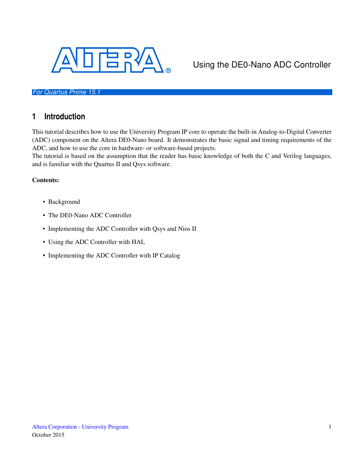

# Using the DE0-Nano ADC Controller

#### *For Quartus Prime 15.1*

# **1 Introduction**

This tutorial describes how to use the University Program IP core to operate the built-in Analog-to-Digital Converter (ADC) component on the Altera DE0-Nano board. It demonstrates the basic signal and timing requirements of the ADC, and how to use the core in hardware- or software-based projects.

The tutorial is based on the assumption that the reader has basic knowledge of both the C and Verilog languages, and is familiar with the Quartus II and Qsys software.

#### Contents:

- Background
- The DE0-Nano ADC Controller
- Implementing the ADC Controller with Qsys and Nios II
- Using the ADC Controller with HAL
- Implementing the ADC Controller with IP Catalog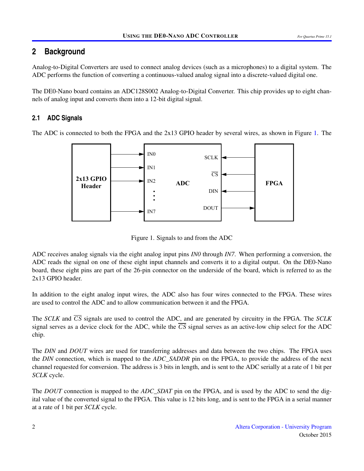# **2 Background**

Analog-to-Digital Converters are used to connect analog devices (such as a microphones) to a digital system. The ADC performs the function of converting a continuous-valued analog signal into a discrete-valued digital one.

The DE0-Nano board contains an ADC128S002 Analog-to-Digital Converter. This chip provides up to eight channels of analog input and converts them into a 12-bit digital signal.

# **2.1 ADC Signals**

<span id="page-1-0"></span>The ADC is connected to both the FPGA and the 2x13 GPIO header by several wires, as shown in Figure [1.](#page-1-0) The



Figure 1. Signals to and from the ADC

ADC receives analog signals via the eight analog input pins *IN0* through *IN7*. When performing a conversion, the ADC reads the signal on one of these eight input channels and converts it to a digital output. On the DE0-Nano board, these eight pins are part of the 26-pin connector on the underside of the board, which is referred to as the 2x13 GPIO header.

In addition to the eight analog input wires, the ADC also has four wires connected to the FPGA. These wires are used to control the ADC and to allow communication between it and the FPGA.

The *SCLK* and *C S* signals are used to control the ADC, and are generated by circuitry in the FPGA. The *SCLK* signal serves as a device clock for the ADC, while the  $\overline{CS}$  signal serves as an active-low chip select for the ADC chip.

The *DIN* and *DOUT* wires are used for transferring addresses and data between the two chips. The FPGA uses the *DIN* connection, which is mapped to the *ADC\_SADDR* pin on the FPGA, to provide the address of the next channel requested for conversion. The address is 3 bits in length, and is sent to the ADC serially at a rate of 1 bit per *SCLK* cycle.

The *DOUT* connection is mapped to the *ADC\_SDAT* pin on the FPGA, and is used by the ADC to send the digital value of the converted signal to the FPGA. This value is 12 bits long, and is sent to the FPGA in a serial manner at a rate of 1 bit per *SCLK* cycle.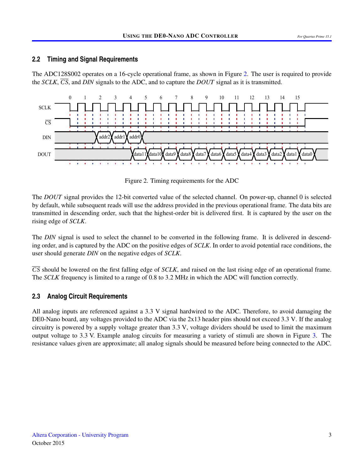#### **2.2 Timing and Signal Requirements**

The ADC128S002 operates on a 16-cycle operational frame, as shown in Figure [2.](#page-2-0) The user is required to provide the *SCLK*,  $\overline{CS}$ , and *DIN* signals to the ADC, and to capture the *DOUT* signal as it is transmitted.

<span id="page-2-0"></span>

Figure 2. Timing requirements for the ADC

The *DOUT* signal provides the 12-bit converted value of the selected channel. On power-up, channel 0 is selected by default, while subsequent reads will use the address provided in the previous operational frame. The data bits are transmitted in descending order, such that the highest-order bit is delivered first. It is captured by the user on the rising edge of *SCLK*.

The *DIN* signal is used to select the channel to be converted in the following frame. It is delivered in descending order, and is captured by the ADC on the positive edges of *SCLK*. In order to avoid potential race conditions, the user should generate *DIN* on the negative edges of *SCLK*.

*C S* should be lowered on the first falling edge of *SCLK*, and raised on the last rising edge of an operational frame. The *SCLK* frequency is limited to a range of 0.8 to 3.2 MHz in which the ADC will function correctly.

### **2.3 Analog Circuit Requirements**

All analog inputs are referenced against a 3.3 V signal hardwired to the ADC. Therefore, to avoid damaging the DE0-Nano board, any voltages provided to the ADC via the 2x13 header pins should not exceed 3.3 V. If the analog circuitry is powered by a supply voltage greater than 3.3 V, voltage dividers should be used to limit the maximum output voltage to 3.3 V. Example analog circuits for measuring a variety of stimuli are shown in Figure [3.](#page-3-0) The resistance values given are approximate; all analog signals should be measured before being connected to the ADC.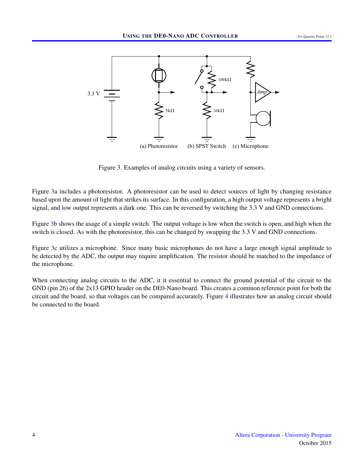<span id="page-3-0"></span>

Figure 3. Examples of analog circuits using a variety of sensors.

Figure [3a](#page-3-0) includes a photoresistor. A photoresistor can be used to detect sources of light by changing resistance based upon the amount of light that strikes its surface. In this configuration, a high output voltage represents a bright signal, and low output represents a dark one. This can be reversed by switching the 3.3 V and GND connections.

Figure [3b](#page-3-0) shows the usage of a simple switch. The output voltage is low when the switch is open, and high when the switch is closed. As with the photoresistor, this can be changed by swapping the 3.3 V and GND connections.

Figure [3c](#page-3-0) utilizes a microphone. Since many basic microphones do not have a large enough signal amplitude to be detected by the ADC, the output may require amplification. The resistor should be matched to the impedance of the microphone.

When connecting analog circuits to the ADC, it it essential to connect the ground potential of the circuit to the GND (pin 26) of the 2x13 GPIO header on the DE0-Nano board. This creates a common reference point for both the circuit and the board, so that voltages can be compared accurately. Figure [4](#page-4-0) illustrates how an analog circuit should be connected to the board.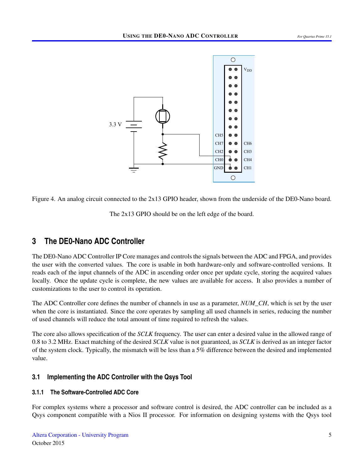<span id="page-4-0"></span>

Figure 4. An analog circuit connected to the 2x13 GPIO header, shown from the underside of the DE0-Nano board.

The 2x13 GPIO should be on the left edge of the board.

# **3 The DE0-Nano ADC Controller**

The DE0-Nano ADC Controller IP Core manages and controls the signals between the ADC and FPGA, and provides the user with the converted values. The core is usable in both hardware-only and software-controlled versions. It reads each of the input channels of the ADC in ascending order once per update cycle, storing the acquired values locally. Once the update cycle is complete, the new values are available for access. It also provides a number of customizations to the user to control its operation.

The ADC Controller core defines the number of channels in use as a parameter, *NUM\_CH*, which is set by the user when the core is instantiated. Since the core operates by sampling all used channels in series, reducing the number of used channels will reduce the total amount of time required to refresh the values.

The core also allows specification of the *SCLK* frequency. The user can enter a desired value in the allowed range of 0.8 to 3.2 MHz. Exact matching of the desired *SCLK* value is not guaranteed, as *SCLK* is derived as an integer factor of the system clock. Typically, the mismatch will be less than a 5% difference between the desired and implemented value.

## **3.1 Implementing the ADC Controller with the Qsys Tool**

### **3.1.1 The Software-Controlled ADC Core**

For complex systems where a processor and software control is desired, the ADC controller can be included as a Qsys component compatible with a Nios II processor. For information on designing systems with the Qsys tool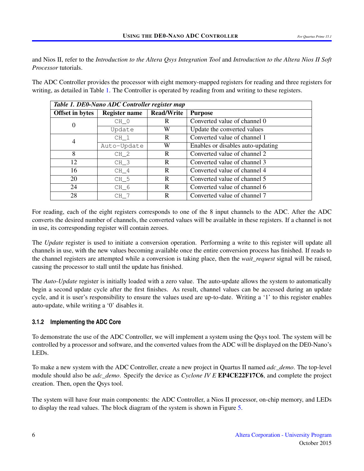and Nios II, refer to the *Introduction to the Altera Qsys Integration Tool* and *Introduction to the Altera Nios II Soft Processor* tutorials.

<span id="page-5-0"></span>The ADC Controller provides the processor with eight memory-mapped registers for reading and three registers for writing, as detailed in Table [1.](#page-5-0) The Controller is operated by reading from and writing to these registers.

| Table 1. DE0-Nano ADC Controller register map |                                           |   |                                   |  |  |  |
|-----------------------------------------------|-------------------------------------------|---|-----------------------------------|--|--|--|
| <b>Offset in bytes</b>                        | <b>Read/Write</b><br><b>Register name</b> |   | <b>Purpose</b>                    |  |  |  |
| $\boldsymbol{0}$                              | $CH_0$                                    | R | Converted value of channel 0      |  |  |  |
|                                               | Update                                    | W | Update the converted values       |  |  |  |
| 4                                             | $CH_1$                                    | R | Converted value of channel 1      |  |  |  |
|                                               | Auto-Update                               | W | Enables or disables auto-updating |  |  |  |
| 8                                             | CH <sub>2</sub>                           | R | Converted value of channel 2      |  |  |  |
| 12                                            | CH <sub>3</sub>                           | R | Converted value of channel 3      |  |  |  |
| 16                                            | CH <sub>4</sub>                           | R | Converted value of channel 4      |  |  |  |
| 20                                            | CH <sub>5</sub>                           | R | Converted value of channel 5      |  |  |  |
| 24                                            | CH <sub>6</sub>                           | R | Converted value of channel 6      |  |  |  |
| 28                                            | CH <sub>7</sub>                           | R | Converted value of channel 7      |  |  |  |

For reading, each of the eight registers corresponds to one of the 8 input channels to the ADC. After the ADC converts the desired number of channels, the converted values will be available in these registers. If a channel is not in use, its corresponding register will contain zeroes.

The *Update* register is used to initiate a conversion operation. Performing a write to this register will update all channels in use, with the new values becoming available once the entire conversion process has finished. If reads to the channel registers are attempted while a conversion is taking place, then the *wait\_request* signal will be raised, causing the processor to stall until the update has finished.

The *Auto-Update* register is initially loaded with a zero value. The auto-update allows the system to automatically begin a second update cycle after the first finishes. As result, channel values can be accessed during an update cycle, and it is user's responsibility to ensure the values used are up-to-date. Writing a '1' to this register enables auto-update, while writing a '0' disables it.

### **3.1.2 Implementing the ADC Core**

To demonstrate the use of the ADC Controller, we will implement a system using the Qsys tool. The system will be controlled by a processor and software, and the converted values from the ADC will be displayed on the DE0-Nano's LEDs.

To make a new system with the ADC Controller, create a new project in Quartus II named *adc\_demo*. The top-level module should also be *adc\_demo*. Specify the device as *Cyclone IV E* EP4CE22F17C6, and complete the project creation. Then, open the Qsys tool.

The system will have four main components: the ADC Controller, a Nios II processor, on-chip memory, and LEDs to display the read values. The block diagram of the system is shown in Figure [5.](#page-6-0)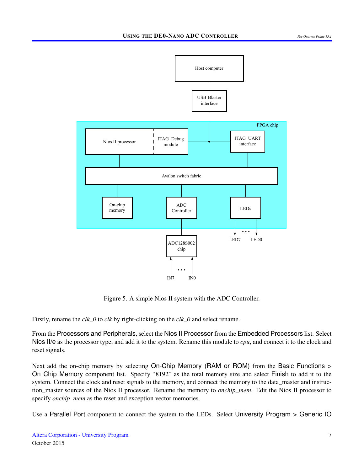<span id="page-6-0"></span>

Figure 5. A simple Nios II system with the ADC Controller.

Firstly, rename the *clk\_0* to *clk* by right-clicking on the *clk\_0* and select rename.

From the Processors and Peripherals, select the Nios II Processor from the Embedded Processors list. Select Nios II/e as the processor type, and add it to the system. Rename this module to *cpu*, and connect it to the clock and reset signals.

Next add the on-chip memory by selecting On-Chip Memory (RAM or ROM) from the Basic Functions > On Chip Memory component list. Specify "8192" as the total memory size and select Finish to add it to the system. Connect the clock and reset signals to the memory, and connect the memory to the data\_master and instruction\_master sources of the Nios II processor. Rename the memory to *onchip\_mem*. Edit the Nios II processor to specify *onchip\_mem* as the reset and exception vector memories.

Use a Parallel Port component to connect the system to the LEDs. Select University Program > Generic IO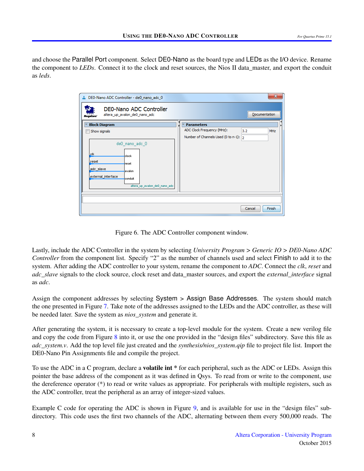and choose the Parallel Port component. Select DE0-Nano as the board type and LEDs as the I/O device. Rename the component to *LEDs*. Connect it to the clock and reset sources, the Nios II data\_master, and export the conduit as *leds*.

| DEO-Nano ADC Controller - de0_nano_adc_0                                                                                                  | $\mathbf{x}$                             |
|-------------------------------------------------------------------------------------------------------------------------------------------|------------------------------------------|
| DE0-Nano ADC Controller<br>altera_up_avalon_de0_nano_adc                                                                                  | Documentation                            |
| <b>Block Diagram</b>                                                                                                                      | <b>Parameters</b>                        |
| Show signals                                                                                                                              | ADC Clock Frequency (MHz):<br>3.2<br>MHz |
|                                                                                                                                           | Number of Channels Used (0 to n-1): 2    |
| deO nano adc O<br>clk<br>clock<br>reset<br>reset<br>adc slave<br>avalon<br>external_interface<br>conduit<br>altera_up_avalon_de0_nano_adc |                                          |
|                                                                                                                                           | Finish<br>Cancel                         |

Figure 6. The ADC Controller component window.

Lastly, include the ADC Controller in the system by selecting *University Program > Generic IO > DE0-Nano ADC Controller* from the component list. Specify "2" as the number of channels used and select Finish to add it to the system. After adding the ADC controller to your system, rename the component to *ADC*. Connect the *clk*, *reset* and *adc\_slave* signals to the clock source, clock reset and data\_master sources, and export the *external\_interface* signal as *adc*.

Assign the component addresses by selecting System > Assign Base Addresses. The system should match the one presented in Figure [7.](#page-8-0) Take note of the addresses assigned to the LEDs and the ADC controller, as these will be needed later. Save the system as *nios\_system* and generate it.

After generating the system, it is necessary to create a top-level module for the system. Create a new verilog file and copy the code from Figure [8](#page-9-0) into it, or use the one provided in the "design files" subdirectory. Save this file as *adc\_system.v.* Add the top level file just created and the *synthesis/nios\_system.qip* file to project file list. Import the DE0-Nano Pin Assignments file and compile the project.

To use the ADC in a C program, declare a **volatile int** \* for each peripheral, such as the ADC or LEDs. Assign this pointer the base address of the component as it was defined in Qsys. To read from or write to the component, use the dereference operator (\*) to read or write values as appropriate. For peripherals with multiple registers, such as the ADC controller, treat the peripheral as an array of integer-sized values.

Example C code for operating the ADC is shown in Figure [9,](#page-10-0) and is available for use in the "design files" subdirectory. This code uses the first two channels of the ADC, alternating between them every 500,000 reads. The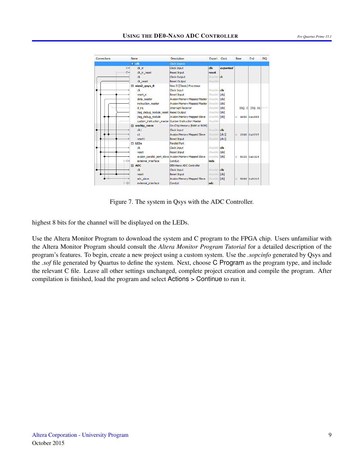<span id="page-8-0"></span>

Figure 7. The system in Qsys with the ADC Controller.

highest 8 bits for the channel will be displayed on the LEDs.

Use the Altera Monitor Program to download the system and C program to the FPGA chip. Users unfamiliar with the Altera Monitor Program should consult the *Altera Monitor Program Tutorial* for a detailed description of the program's features. To begin, create a new project using a custom system. Use the *.sopcinfo* generated by Qsys and the *.sof* file generated by Quartus to define the system. Next, choose C Program as the program type, and include the relevant C file. Leave all other settings unchanged, complete project creation and compile the program. After compilation is finished, load the program and select Actions > Continue to run it.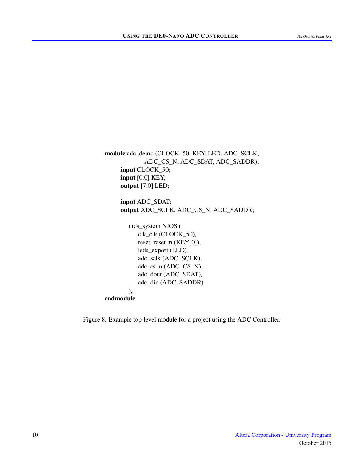<span id="page-9-0"></span>module adc\_demo (CLOCK\_50, KEY, LED, ADC\_SCLK, ADC\_CS\_N, ADC\_SDAT, ADC\_SADDR); input CLOCK\_50; input [0:0] KEY; output [7:0] LED; input ADC\_SDAT; output ADC\_SCLK, ADC\_CS\_N, ADC\_SADDR; nios\_system NIOS ( .clk\_clk (CLOCK\_50), .reset\_reset\_n (KEY[0]), .leds\_export (LED), .adc\_sclk (ADC\_SCLK),  $adc_cs_n$  (ADC $_C$ CS $_N$ ), .adc\_dout (ADC\_SDAT),

#### endmodule

);

Figure 8. Example top-level module for a project using the ADC Controller.

.adc\_din (ADC\_SADDR)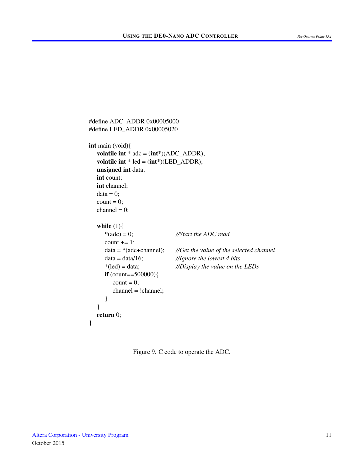```
#define ADC_ADDR 0x00005000
#define LED_ADDR 0x00005020
int main (void){
  volatile int * adc = (int*)(ADC_ADDR);
  volatile int * led = (int*)(LED_ADDR);
  unsigned int data;
  int count;
  int channel;
  data = 0;
  count = 0;
  channel = 0;
  while (1){
     *(adc) = 0; //Start the ADC read
     count += 1;
     data = *(adc+channel); //Get the value of the selected channel
     data = data/16; //Ignore the lowest 4 bits
     *(led) = data; //Display the value on the LEDs
     if (count==500000){
        count = 0;
        channel = !channel;
     }
  }
  return 0;
}
```
Figure 9. C code to operate the ADC.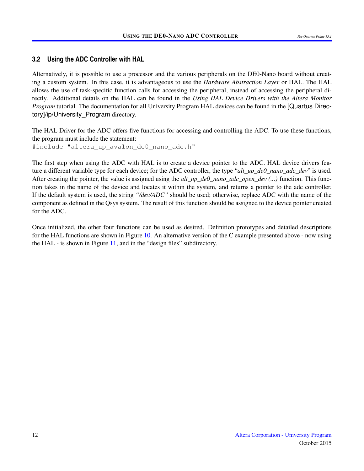#### **3.2 Using the ADC Controller with HAL**

Alternatively, it is possible to use a processor and the various peripherals on the DE0-Nano board without creating a custom system. In this case, it is advantageous to use the *Hardware Abstraction Layer* or HAL. The HAL allows the use of task-specific function calls for accessing the peripheral, instead of accessing the peripheral directly. Additional details on the HAL can be found in the *Using HAL Device Drivers with the Altera Monitor Program* tutorial. The documentation for all University Program HAL devices can be found in the [Quartus Directory]/ip/University\_Program directory.

The HAL Driver for the ADC offers five functions for accessing and controlling the ADC. To use these functions, the program must include the statement:

#include "altera\_up\_avalon\_de0\_nano\_adc.h"

The first step when using the ADC with HAL is to create a device pointer to the ADC. HAL device drivers feature a different variable type for each device; for the ADC controller, the type "*alt\_up\_de0\_nano\_adc\_dev*" is used. After creating the pointer, the value is assigned using the *alt* up de0 nano adc open dev  $(...)$  function. This function takes in the name of the device and locates it within the system, and returns a pointer to the adc controller. If the default system is used, the string *"/dev/ADC"* should be used; otherwise, replace ADC with the name of the component as defined in the Qsys system. The result of this function should be assigned to the device pointer created for the ADC.

Once initialized, the other four functions can be used as desired. Definition prototypes and detailed descriptions for the HAL functions are shown in Figure [10.](#page-12-0) An alternative version of the C example presented above - now using the HAL - is shown in Figure [11,](#page-13-0) and in the "design files" subdirectory.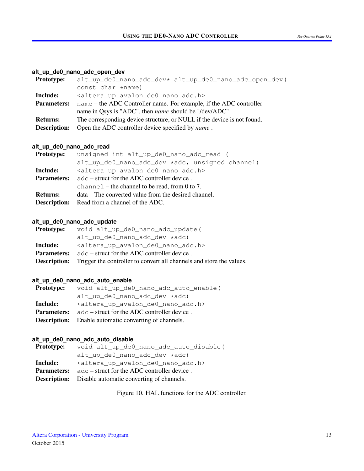#### <span id="page-12-0"></span>**alt\_up\_de0\_nano\_adc\_open\_dev**

| <b>Prototype:</b>   | alt_up_de0_nano_adc_dev* alt_up_de0_nano_adc_open_dev(                  |  |  |  |  |
|---------------------|-------------------------------------------------------------------------|--|--|--|--|
|                     | const char *name)                                                       |  |  |  |  |
| Include:            | <altera_up_avalon_de0_nano_adc.h></altera_up_avalon_de0_nano_adc.h>     |  |  |  |  |
| <b>Parameters:</b>  | name – the ADC Controller name. For example, if the ADC controller      |  |  |  |  |
|                     | name in Qsys is "ADC", then <i>name</i> should be "/dev/ADC"            |  |  |  |  |
| <b>Returns:</b>     | The corresponding device structure, or NULL if the device is not found. |  |  |  |  |
| <b>Description:</b> | Open the ADC controller device specified by <i>name</i> .               |  |  |  |  |
|                     |                                                                         |  |  |  |  |

#### **alt\_up\_de0\_nano\_adc\_read**

| <b>Prototype:</b>  | unsigned int alt_up_de0_nano_adc_read (                             |  |  |  |  |  |  |
|--------------------|---------------------------------------------------------------------|--|--|--|--|--|--|
|                    | alt_up_de0_nano_adc_dev *adc, unsigned channel)                     |  |  |  |  |  |  |
| Include:           | <altera_up_avalon_de0_nano_adc.h></altera_up_avalon_de0_nano_adc.h> |  |  |  |  |  |  |
| <b>Parameters:</b> | $\alpha$ adc – struct for the ADC controller device.                |  |  |  |  |  |  |
|                    | channel – the channel to be read, from 0 to 7.                      |  |  |  |  |  |  |
| <b>Returns:</b>    | data – The converted value from the desired channel.                |  |  |  |  |  |  |
|                    | <b>Description:</b> Read from a channel of the ADC.                 |  |  |  |  |  |  |

#### **alt\_up\_de0\_nano\_adc\_update**

| <b>Prototype:</b>  | void alt_up_de0_nano_adc_update(                                                         |  |  |  |  |
|--------------------|------------------------------------------------------------------------------------------|--|--|--|--|
|                    | $alt\_up\_de0\_nano\_adc\_dev *adc)$                                                     |  |  |  |  |
| Include:           | <altera_up_avalon_de0_nano_adc.h></altera_up_avalon_de0_nano_adc.h>                      |  |  |  |  |
| <b>Parameters:</b> | $\alpha$ adc – struct for the ADC controller device.                                     |  |  |  |  |
|                    | <b>Description:</b> Trigger the controller to convert all channels and store the values. |  |  |  |  |

## **alt\_up\_de0\_nano\_adc\_auto\_enable**

| <b>Prototype:</b>  | void alt_up_de0_nano_adc_auto_enable(                               |  |  |  |  |
|--------------------|---------------------------------------------------------------------|--|--|--|--|
|                    | alt_up_de0_nano_adc_dev *adc)                                       |  |  |  |  |
| Include:           | <altera_up_avalon_de0_nano_adc.h></altera_up_avalon_de0_nano_adc.h> |  |  |  |  |
| <b>Parameters:</b> | $\alpha$ adc – struct for the ADC controller device.                |  |  |  |  |
|                    | <b>Description:</b> Enable automatic converting of channels.        |  |  |  |  |
|                    |                                                                     |  |  |  |  |

## **alt\_up\_de0\_nano\_adc\_auto\_disable**

| <b>Prototype:</b> | void alt_up_de0_nano_adc_auto_disable(                              |  |  |  |  |
|-------------------|---------------------------------------------------------------------|--|--|--|--|
|                   | alt_up_de0_nano_adc_dev *adc)                                       |  |  |  |  |
| <b>Include:</b>   | <altera_up_avalon_de0_nano_adc.h></altera_up_avalon_de0_nano_adc.h> |  |  |  |  |
|                   | <b>Parameters:</b> adc – struct for the ADC controller device.      |  |  |  |  |
|                   | <b>Description:</b> Disable automatic converting of channels.       |  |  |  |  |

Figure 10. HAL functions for the ADC controller.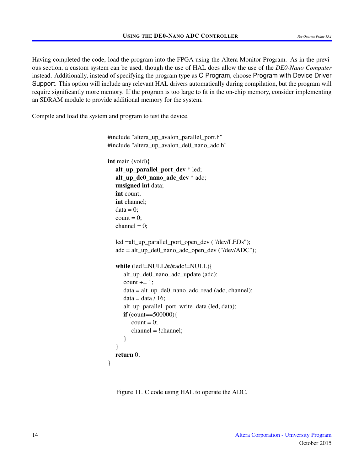Having completed the code, load the program into the FPGA using the Altera Monitor Program. As in the previous section, a custom system can be used, though the use of HAL does allow the use of the *DE0-Nano Computer* instead. Additionally, instead of specifying the program type as C Program, choose Program with Device Driver Support. This option will include any relevant HAL drivers automatically during compilation, but the program will require significantly more memory. If the program is too large to fit in the on-chip memory, consider implementing an SDRAM module to provide additional memory for the system.

<span id="page-13-0"></span>Compile and load the system and program to test the device.

#include "altera\_up\_avalon\_parallel\_port.h" #include "altera\_up\_avalon\_de0\_nano\_adc.h" int main (void){ alt\_up\_parallel\_port\_dev \* led; alt\_up\_de0\_nano\_adc\_dev \* adc; unsigned int data; int count; int channel;  $data = 0$ ;  $count = 0$ ; channel =  $0$ ; led =alt\_up\_parallel\_port\_open\_dev ("/dev/LEDs");  $\text{adc} = \text{alt\_up\_de0\_nano\_adc\_open\_dev}$  ("/dev/ADC"); while (led!=NULL&&adc!=NULL){ alt\_up\_de0\_nano\_adc\_update (adc); count  $+= 1$ ; data = alt\_up\_de0\_nano\_adc\_read (adc, channel);  $data = data / 16$ ; alt\_up\_parallel\_port\_write\_data (led, data); if  $(count==500000)$  $count = 0$ ; channel = !channel; } } return 0; }

Figure 11. C code using HAL to operate the ADC.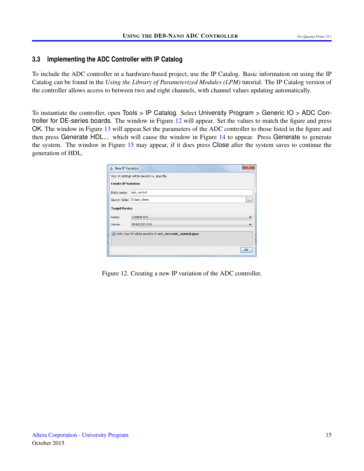#### **3.3 Implementing the ADC Controller with IP Catalog**

To include the ADC controller in a hardware-based project, use the IP Catalog. Basic information on using the IP Catalog can be found in the *Using the Library of Parameterized Modules (LPM)* tutorial. The IP Catalog version of the controller allows access to between two and eight channels, with channel values updating automatically.

<span id="page-14-0"></span>To instantiate the controller, open Tools > IP Catalog. Select University Program > Generic IO > ADC Con-troller for DE-series boards. The window in Figure [12](#page-14-0) will appear. Set the values to match the figure and press OK. The window in Figure [13](#page-15-0) will appear.Set the parameters of the ADC controller to those listed in the figure and then press Generate HDL... which will cause the window in Figure [14](#page-15-1) to appear. Press Generate to generate the system. The window in Figure [15](#page-16-0) may appear, if it does press Close after the system saves to continue the generation of HDL.

| <b>A.</b> New IP Variation                                      |                                                 | x  |  |  |  |  |
|-----------------------------------------------------------------|-------------------------------------------------|----|--|--|--|--|
|                                                                 | Your IP settings will be saved in a .gsys file. |    |  |  |  |  |
| <b>Create IP Variation</b>                                      |                                                 |    |  |  |  |  |
| Entity name:                                                    | adc_control                                     |    |  |  |  |  |
| Save in folder: D:\adc_demo                                     |                                                 |    |  |  |  |  |
|                                                                 | <b>Target Device</b>                            |    |  |  |  |  |
| Family:                                                         | Cyclone IV E                                    |    |  |  |  |  |
| Device:                                                         | EP4CE22F17C6                                    |    |  |  |  |  |
| 1 Info: Your IP will be saved in D: \adc_demo/adc_control.qsys. |                                                 |    |  |  |  |  |
|                                                                 |                                                 | OK |  |  |  |  |

Figure 12. Creating a new IP variation of the ADC controller.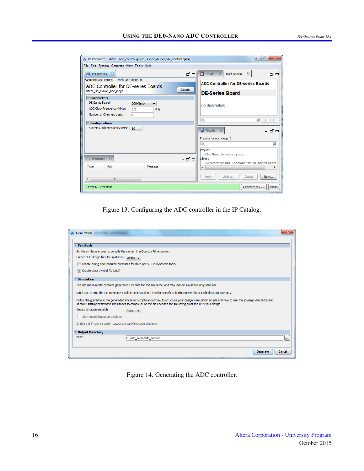<span id="page-15-0"></span>

| " IP Parameter Editor - adc_control.qsys* (D:\adc_demo\adc_control.qsys)                                                            | $\overline{\mathbf{x}}$<br>回<br>$\Box$                                   |  |  |  |
|-------------------------------------------------------------------------------------------------------------------------------------|--------------------------------------------------------------------------|--|--|--|
| File Edit System Generate View Tools Help                                                                                           |                                                                          |  |  |  |
| Parameters<br>$\Sigma$<br>-ರೆ⊏                                                                                                      | Details &<br>$\Sigma$<br><b>Block Symbol</b><br>- ថ =                    |  |  |  |
| System: adc_control    Path: adc_mega_0                                                                                             | <b>ADC Controller for DE-series Boards</b>                               |  |  |  |
| ADC Controller for DE-series Boards<br><b>Details</b>                                                                               |                                                                          |  |  |  |
| altera up avalon adc mega                                                                                                           | <b>DE-Series Board</b>                                                   |  |  |  |
| <b>Parameters</b><br>DE-Series Board:<br>DE0-Nano<br>▼<br>ADC Clock Frequency (MHz):<br>3.2<br>MHz<br>Number of Channels Used:<br>8 | no description                                                           |  |  |  |
| <b>Configurations</b><br>System Clock Frequency (MHz): 50                                                                           | ×<br>Q<br>≺<br><b>b</b> Presets $\otimes$<br>– ರಿ ⊏                      |  |  |  |
|                                                                                                                                     | Presets for adc mega 0<br>×<br>Project<br>iClick New to create a preset. |  |  |  |
| 53<br>$\frac{35}{20}$ Messages<br>- T ol                                                                                            | Library<br>iNo presets for ADC Controller for DE-series Boards           |  |  |  |
| Path<br>Type<br>Message                                                                                                             | m.                                                                       |  |  |  |
| ш<br>k.                                                                                                                             | Update<br>Apply<br>Delete<br>New                                         |  |  |  |
| 0 Errors, 0 Warnings                                                                                                                | Finish<br>Generate HDL                                                   |  |  |  |

Figure 13. Configuring the ADC controller in the IP Catalog.

<span id="page-15-1"></span>

| <b>E.</b> Generation                                                                                                                                                                                                                                                                   |                                                                                                                               |          |  |  |  |  |
|----------------------------------------------------------------------------------------------------------------------------------------------------------------------------------------------------------------------------------------------------------------------------------------|-------------------------------------------------------------------------------------------------------------------------------|----------|--|--|--|--|
|                                                                                                                                                                                                                                                                                        |                                                                                                                               |          |  |  |  |  |
| <b>Synthesis</b>                                                                                                                                                                                                                                                                       |                                                                                                                               |          |  |  |  |  |
|                                                                                                                                                                                                                                                                                        | Synthesis files are used to compile the system in a Quartus Prime project.                                                    |          |  |  |  |  |
| Create HDL design files for synthesis: Verilog v                                                                                                                                                                                                                                       |                                                                                                                               |          |  |  |  |  |
|                                                                                                                                                                                                                                                                                        | Create timing and resource estimates for third-party EDA synthesis tools.                                                     |          |  |  |  |  |
| Create block symbol file (.bsf)                                                                                                                                                                                                                                                        |                                                                                                                               |          |  |  |  |  |
| <b>Simulation</b>                                                                                                                                                                                                                                                                      |                                                                                                                               |          |  |  |  |  |
|                                                                                                                                                                                                                                                                                        | The simulation model contains generated HDL files for the simulator, and may include simulation-only features.                |          |  |  |  |  |
|                                                                                                                                                                                                                                                                                        | Simulation scripts for this component will be generated in a vendor-specific sub-directory in the specified output directory. |          |  |  |  |  |
| Follow the quidance in the generated simulation scripts about how to structure your design's simulation scripts and how to use the ip-setup-simulation and<br>ip-make-simscript command-line utilities to compile all of the files needed for simulating all of the IP in your design. |                                                                                                                               |          |  |  |  |  |
| Create simulation model:                                                                                                                                                                                                                                                               | None                                                                                                                          |          |  |  |  |  |
| Allow mixed-language simulation                                                                                                                                                                                                                                                        |                                                                                                                               |          |  |  |  |  |
| Enable this if your simulator supports mixed-language simulation.                                                                                                                                                                                                                      |                                                                                                                               |          |  |  |  |  |
| <b>Output Directory</b>                                                                                                                                                                                                                                                                |                                                                                                                               |          |  |  |  |  |
| Path:                                                                                                                                                                                                                                                                                  | D:/adc demo/adc control                                                                                                       | $\cdots$ |  |  |  |  |
|                                                                                                                                                                                                                                                                                        |                                                                                                                               |          |  |  |  |  |
|                                                                                                                                                                                                                                                                                        | Generate                                                                                                                      | Cancel   |  |  |  |  |

Figure 14. Generating the ADC controller.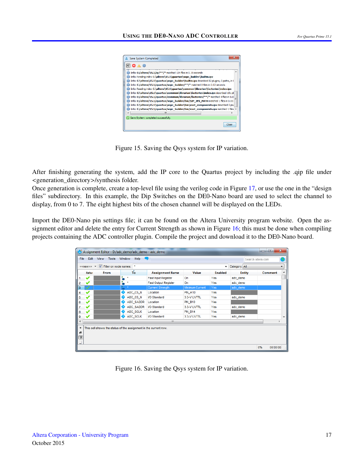<span id="page-16-0"></span>

Figure 15. Saving the Qsys system for IP variation.

After finishing generating the system, add the IP core to the Quartus project by including the .qip file under <generation\_directory>/synthesis folder.

Once generation is complete, create a top-level file using the verilog code in Figure [17,](#page-17-0) or use the one in the "design files" subdirectory. In this example, the Dip Switches on the DE0-Nano board are used to select the channel to display, from 0 to 7. The eight highest bits of the chosen channel will be displayed on the LEDs.

<span id="page-16-1"></span>Import the DE0-Nano pin settings file; it can be found on the Altera University program website. Open the assignment editor and delete the entry for Current Strength as shown in Figure [16;](#page-16-1) this must be done when compiling projects containing the ADC controller plugin. Compile the project and download it to the DE0-Nano board.

|                           |                                                                             |      | Assignment Editor - D:/adc_demo/adc_demo - adc_demo              |                             |                        |                    |               | 回<br>$\Box$    | $\mathbf{x}$ |
|---------------------------|-----------------------------------------------------------------------------|------|------------------------------------------------------------------|-----------------------------|------------------------|--------------------|---------------|----------------|--------------|
|                           | Edit<br>View<br><b>Tools</b><br>Window<br>Help<br>File<br>Search altera.com |      |                                                                  |                             |                        |                    |               |                |              |
|                           | < <new>&gt; ▼   V Filter on node names: *<br/>۰.</new>                      |      |                                                                  |                             |                        | Category: All<br>▼ |               |                |              |
|                           | itatu:                                                                      | From | ▴<br>To                                                          | <b>Assignment Name</b>      | Value                  | Enabled            | <b>Entity</b> | <b>Comment</b> | ۸            |
|                           | ✔                                                                           |      | 型<br>$\pmb{\pm}$                                                 | <b>Fast Input Register</b>  | On.                    | Yes                | adc_demo      |                |              |
| 2                         | ✔                                                                           |      | 苦<br>÷                                                           | <b>Fast Output Register</b> | On                     | Yes                | adc demo      |                |              |
| 3                         |                                                                             |      | $\star$                                                          | <b>Current Strength</b>     | <b>Minimum Current</b> | Yes                | adc_demo      |                |              |
| 4                         | ✔                                                                           |      | ADC_CS_N                                                         | Location                    | <b>PIN A10</b>         | Yes                |               |                |              |
| 5                         | ✔                                                                           |      | ADC_CS_N                                                         | <b>VO Standard</b>          | 3.3-V LVTTL            | Yes                | adc_demo      |                |              |
| 6                         | ✔                                                                           |      | ADC_SADDR                                                        | Location                    | <b>PIN_B10</b>         | Yes                |               |                |              |
| 7                         |                                                                             |      | ADC SADDR                                                        | <b>VO Standard</b>          | 3.3-V LVTTL            | Yes                | adc demo      |                |              |
| 8                         | ✔                                                                           |      | ADC_SCLK                                                         | Location                    | <b>PIN_B14</b>         | Yes                |               |                |              |
| 9                         |                                                                             |      | ADC SCLK<br>♠                                                    | VO Standard                 | 3.3-V LVTTL            | Yes                | adc demo      |                |              |
| ∢                         |                                                                             |      |                                                                  | m.                          |                        |                    |               |                |              |
| $\boldsymbol{\mathsf{x}}$ |                                                                             |      | This cell shows the status of the assignment in the current row. |                             |                        |                    |               |                |              |
| Ð                         |                                                                             |      |                                                                  |                             |                        |                    |               |                |              |
| ⊕                         |                                                                             |      |                                                                  |                             |                        |                    |               |                |              |
| ₫                         |                                                                             |      |                                                                  |                             |                        |                    |               |                |              |
|                           |                                                                             |      |                                                                  |                             |                        |                    |               | 0%<br>00:00:00 |              |

Figure 16. Saving the Qsys system for IP variation.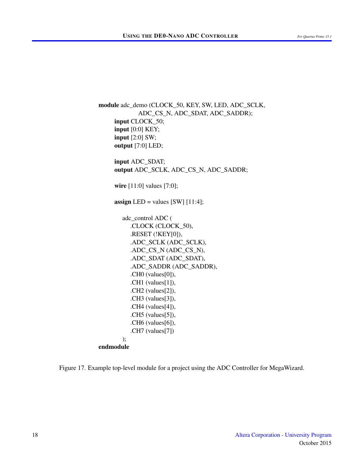<span id="page-17-0"></span>module adc\_demo (CLOCK\_50, KEY, SW, LED, ADC\_SCLK, ADC\_CS\_N, ADC\_SDAT, ADC\_SADDR); input CLOCK\_50; input [0:0] KEY; input [2:0] SW; output [7:0] LED; input ADC\_SDAT; output ADC\_SCLK, ADC\_CS\_N, ADC\_SADDR; wire [11:0] values [7:0]; assign LED = values  $[SW]$  [11:4]; adc\_control ADC ( .CLOCK (CLOCK\_50), .RESET (!KEY[0]), .ADC\_SCLK (ADC\_SCLK), .ADC\_CS\_N (ADC\_CS\_N), .ADC\_SDAT (ADC\_SDAT), .ADC\_SADDR (ADC\_SADDR), .CH0 (values[0]), .CH1 (values[1]), .CH2 (values[2]), .CH3 (values[3]), .CH4 (values[4]), .CH5 (values[5]), .CH6 (values[6]), .CH7 (values[7]) ); endmodule

Figure 17. Example top-level module for a project using the ADC Controller for MegaWizard.